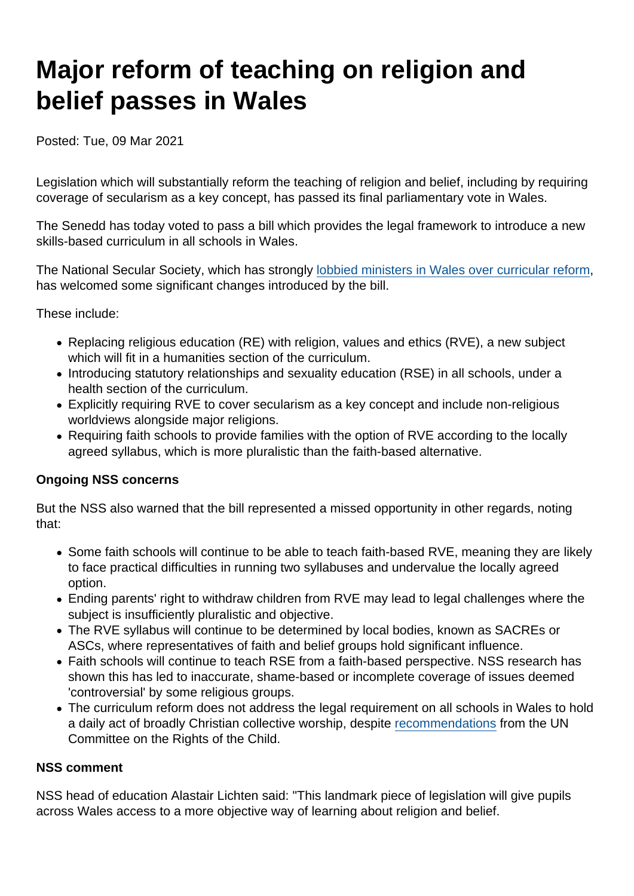# Major reform of teaching on religion and belief passes in Wales

Posted: Tue, 09 Mar 2021

Legislation which will substantially reform the teaching of religion and belief, including by requiring coverage of secularism as a key concept, has passed its final parliamentary vote in Wales.

The Senedd has today voted to pass a bill which provides the legal framework to introduce a new skills-based curriculum in all schools in Wales.

The National Secular Society, which has strongly [lobbied ministers in Wales over curricular reform](https://www.secularism.org.uk/21st-century-re-for-all/rve-wales.html), has welcomed some significant changes introduced by the bill.

These include:

- Replacing religious education (RE) with religion, values and ethics (RVE), a new subject which will fit in a humanities section of the curriculum.
- Introducing statutory relationships and sexuality education (RSE) in all schools, under a health section of the curriculum.
- Explicitly requiring RVE to cover secularism as a key concept and include non-religious worldviews alongside major religions.
- Requiring faith schools to provide families with the option of RVE according to the locally agreed syllabus, which is more pluralistic than the faith-based alternative.

### Ongoing NSS concerns

But the NSS also warned that the bill represented a missed opportunity in other regards, noting that:

- Some faith schools will continue to be able to teach faith-based RVE, meaning they are likely to face practical difficulties in running two syllabuses and undervalue the locally agreed option.
- Ending parents' right to withdraw children from RVE may lead to legal challenges where the subject is insufficiently pluralistic and objective.
- The RVE syllabus will continue to be determined by local bodies, known as SACREs or ASCs, where representatives of faith and belief groups hold significant influence.
- Faith schools will continue to teach RSE from a faith-based perspective. NSS research has shown this has led to inaccurate, shame-based or incomplete coverage of issues deemed 'controversial' by some religious groups.
- The curriculum reform does not address the legal requirement on all schools in Wales to hold a daily act of broadly Christian collective worship, despite [recommendations](https://www.secularism.org.uk/news/2021/02/uk-quizzed-over-collective-worship-law-by-un) from the UN Committee on the Rights of the Child.

#### NSS comment

NSS head of education Alastair Lichten said: "This landmark piece of legislation will give pupils across Wales access to a more objective way of learning about religion and belief.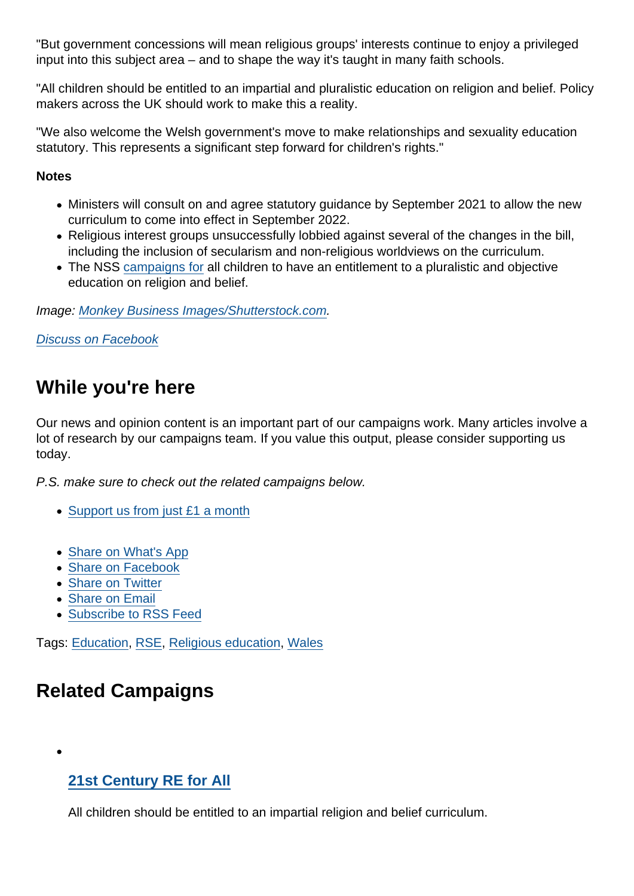"But government concessions will mean religious groups' interests continue to enjoy a privileged input into this subject area – and to shape the way it's taught in many faith schools.

"All children should be entitled to an impartial and pluralistic education on religion and belief. Policy makers across the UK should work to make this a reality.

"We also welcome the Welsh government's move to make relationships and sexuality education statutory. This represents a significant step forward for children's rights."

**Notes** 

- Ministers will consult on and agree statutory guidance by September 2021 to allow the new curriculum to come into effect in September 2022.
- Religious interest groups unsuccessfully lobbied against several of the changes in the bill, including the inclusion of secularism and non-religious worldviews on the curriculum.
- The NSS [campaigns for](https://www.secularism.org.uk/21st-century-re-for-all/) all children to have an entitlement to a pluralistic and objective education on religion and belief.

Image: [Monkey Business Images/Shutterstock.com.](https://www.shutterstock.com/image-photo/teacher-walking-her-busy-primary-school-432876541)

[Discuss on Facebook](https://www.facebook.com/NationalSecularSociety/posts/3791692557565734?__xts__[0]=68.ARDn1VGJD4brHwZW5yxbZtwNmOMvEtgp7GUKTULbZW5jU8EP1mnBZCy74b30JW4Yq5k7genJx-gf5sxWydky9_lIQeKJkgVPK906oSJPr6IBWUtq8L5a_Izh9IT46vMed7Q_VEuYmyM79znJx7Cp6wPOY5rlRYp-4RtwKc878z-JsibxaeMR5zP2jR4_nuQrfjPh54XvXl79NlvoDPdNADPVlL1HC7_w-H_Fu3SAoGD46zTB997YO5A15hSKwr4CUR9RhqmlyWpPCFjjtRhaoYj5rKckqvzD&__tn__=-R)

## While you're here

Our news and opinion content is an important part of our campaigns work. Many articles involve a lot of research by our campaigns team. If you value this output, please consider supporting us today.

P.S. make sure to check out the related campaigns below.

- [Support us from just £1 a month](https://www.secularism.org.uk/donate.html)
- [Share on What's App](whatsapp://send?text=http://www.secularism.org.uk/news/2021/03/major-reform-of-teaching-on-religion-and-belief-passes-in-wales?format=pdf)
- [Share on Facebook](https://www.facebook.com/sharer/sharer.php?u=http://www.secularism.org.uk/news/2021/03/major-reform-of-teaching-on-religion-and-belief-passes-in-wales?format=pdf&t=Major+reform+of+teaching+on+religion+and+belief+passes+in+Wales)
- [Share on Twitter](https://twitter.com/intent/tweet?url=http://www.secularism.org.uk/news/2021/03/major-reform-of-teaching-on-religion-and-belief-passes-in-wales?format=pdf&text=Major+reform+of+teaching+on+religion+and+belief+passes+in+Wales&via=NatSecSoc)
- [Share on Email](https://www.secularism.org.uk/share.html?url=http://www.secularism.org.uk/news/2021/03/major-reform-of-teaching-on-religion-and-belief-passes-in-wales?format=pdf&title=Major+reform+of+teaching+on+religion+and+belief+passes+in+Wales)
- [Subscribe to RSS Feed](/mnt/web-data/www/cp-nss/feeds/rss/news)

Tags: [Education,](https://www.secularism.org.uk/news/tags/Education) [RSE](https://www.secularism.org.uk/news/tags/RSE), [Religious education](https://www.secularism.org.uk/news/tags/Religious+education), [Wales](https://www.secularism.org.uk/news/tags/Wales)

## Related Campaigns

[21st Century RE for All](https://www.secularism.org.uk/21st-century-re-for-all/)

All children should be entitled to an impartial religion and belief curriculum.